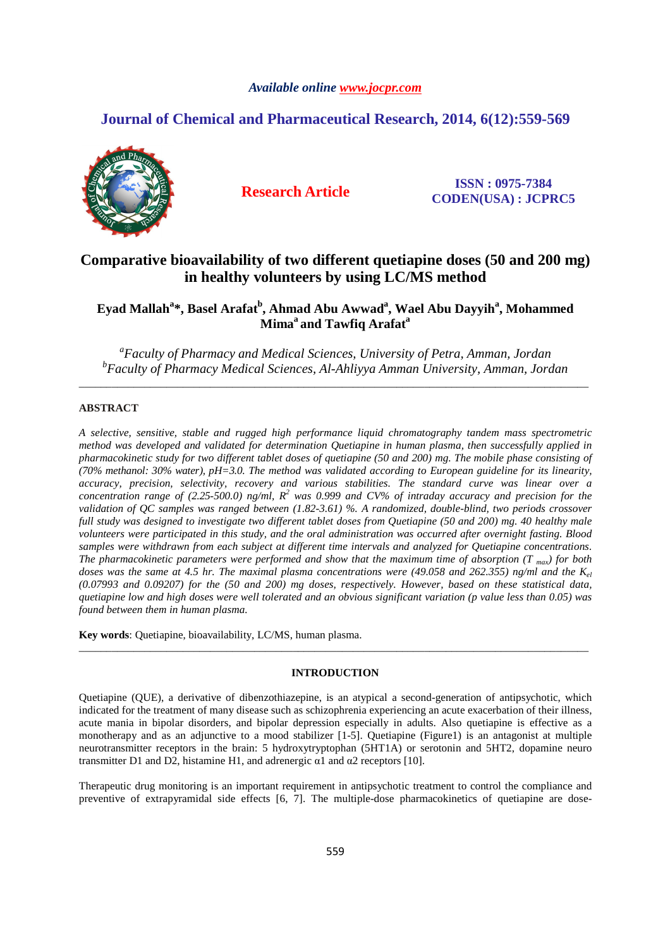# *Available online www.jocpr.com*

# **Journal of Chemical and Pharmaceutical Research, 2014, 6(12):559-569**



**Research Article ISSN : 0975-7384 CODEN(USA) : JCPRC5**

# **Comparative bioavailability of two different quetiapine doses (50 and 200 mg) in healthy volunteers by using LC/MS method**

# **Eyad Mallah<sup>a</sup> \*, Basel Arafat<sup>b</sup> , Ahmad Abu Awwad<sup>a</sup> , Wael Abu Dayyih<sup>a</sup> , Mohammed Mima<sup>a</sup>and Tawfiq Arafat<sup>a</sup>**

*a Faculty of Pharmacy and Medical Sciences, University of Petra, Amman, Jordan b Faculty of Pharmacy Medical Sciences, Al-Ahliyya Amman University, Amman, Jordan*  \_\_\_\_\_\_\_\_\_\_\_\_\_\_\_\_\_\_\_\_\_\_\_\_\_\_\_\_\_\_\_\_\_\_\_\_\_\_\_\_\_\_\_\_\_\_\_\_\_\_\_\_\_\_\_\_\_\_\_\_\_\_\_\_\_\_\_\_\_\_\_\_\_\_\_\_\_\_\_\_\_\_\_\_\_\_\_\_\_\_\_\_\_

# **ABSTRACT**

*A selective, sensitive, stable and rugged high performance liquid chromatography tandem mass spectrometric method was developed and validated for determination Quetiapine in human plasma, then successfully applied in pharmacokinetic study for two different tablet doses of quetiapine (50 and 200) mg. The mobile phase consisting of (70% methanol: 30% water), pH=3.0. The method was validated according to European guideline for its linearity, accuracy, precision, selectivity, recovery and various stabilities. The standard curve was linear over a concentration range of (2.25-500.0) ng/ml,*  $R^2$  was 0.999 and CV% of intraday accuracy and precision for the *validation of QC samples was ranged between (1.82-3.61) %. A randomized, double-blind, two periods crossover full study was designed to investigate two different tablet doses from Quetiapine (50 and 200) mg. 40 healthy male volunteers were participated in this study, and the oral administration was occurred after overnight fasting. Blood samples were withdrawn from each subject at different time intervals and analyzed for Quetiapine concentrations. The pharmacokinetic parameters were performed and show that the maximum time of absorption (T*  $_{max}$ *) for both doses was the same at 4.5 hr. The maximal plasma concentrations were (49.058 and 262.355) ng/ml and the Kel (0.07993 and 0.09207) for the (50 and 200) mg doses, respectively. However, based on these statistical data, quetiapine low and high doses were well tolerated and an obvious significant variation (p value less than 0.05) was found between them in human plasma.* 

**Key words**: Quetiapine, bioavailability, LC/MS, human plasma.

### **INTRODUCTION**

\_\_\_\_\_\_\_\_\_\_\_\_\_\_\_\_\_\_\_\_\_\_\_\_\_\_\_\_\_\_\_\_\_\_\_\_\_\_\_\_\_\_\_\_\_\_\_\_\_\_\_\_\_\_\_\_\_\_\_\_\_\_\_\_\_\_\_\_\_\_\_\_\_\_\_\_\_\_\_\_\_\_\_\_\_\_\_\_\_\_\_\_\_

Quetiapine (QUE), a derivative of dibenzothiazepine, is an atypical a second-generation of antipsychotic, which indicated for the treatment of many disease such as schizophrenia experiencing an acute exacerbation of their illness, acute mania in bipolar disorders, and bipolar depression especially in adults. Also quetiapine is effective as a monotherapy and as an adjunctive to a mood stabilizer [1-5]. Quetiapine (Figure1) is an antagonist at multiple neurotransmitter receptors in the brain: 5 hydroxytryptophan (5HT1A) or serotonin and 5HT2, dopamine neuro transmitter D1 and D2, histamine H1, and adrenergic α1 and α2 receptors [10].

Therapeutic drug monitoring is an important requirement in antipsychotic treatment to control the compliance and preventive of extrapyramidal side effects [6, 7]. The multiple-dose pharmacokinetics of quetiapine are dose-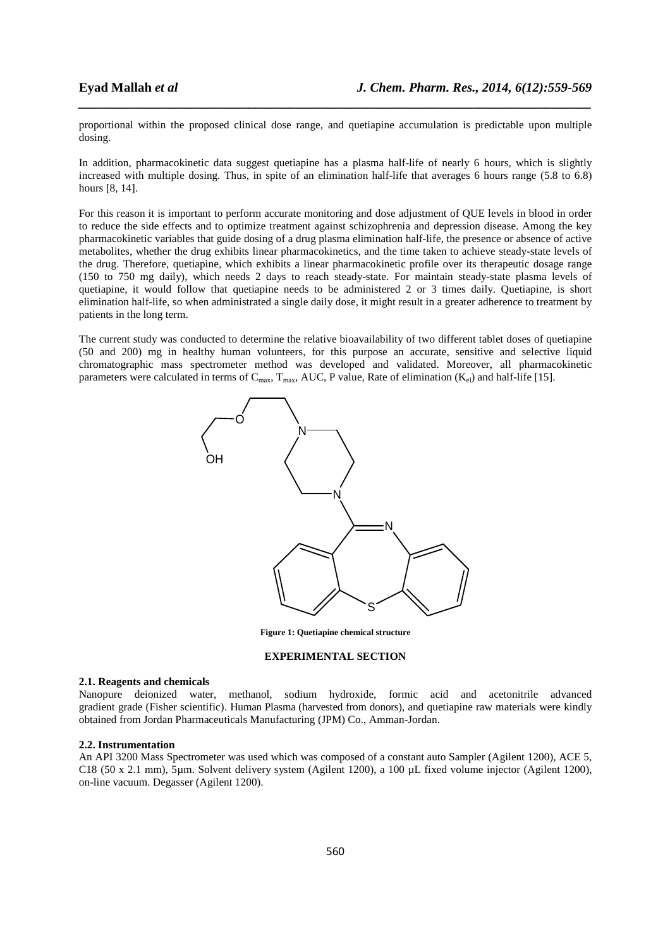proportional within the proposed clinical dose range, and quetiapine accumulation is predictable upon multiple dosing.

*\_\_\_\_\_\_\_\_\_\_\_\_\_\_\_\_\_\_\_\_\_\_\_\_\_\_\_\_\_\_\_\_\_\_\_\_\_\_\_\_\_\_\_\_\_\_\_\_\_\_\_\_\_\_\_\_\_\_\_\_\_\_\_\_\_\_\_\_\_\_\_\_\_\_\_\_\_\_*

In addition, pharmacokinetic data suggest quetiapine has a plasma half-life of nearly 6 hours, which is slightly increased with multiple dosing. Thus, in spite of an elimination half-life that averages 6 hours range (5.8 to 6.8) hours [8, 14].

For this reason it is important to perform accurate monitoring and dose adjustment of QUE levels in blood in order to reduce the side effects and to optimize treatment against schizophrenia and depression disease. Among the key pharmacokinetic variables that guide dosing of a drug plasma elimination half-life, the presence or absence of active metabolites, whether the drug exhibits linear pharmacokinetics, and the time taken to achieve steady-state levels of the drug. Therefore, quetiapine, which exhibits a linear pharmacokinetic profile over its therapeutic dosage range (150 to 750 mg daily), which needs 2 days to reach steady-state. For maintain steady-state plasma levels of quetiapine, it would follow that quetiapine needs to be administered 2 or 3 times daily. Quetiapine, is short elimination half-life, so when administrated a single daily dose, it might result in a greater adherence to treatment by patients in the long term.

The current study was conducted to determine the relative bioavailability of two different tablet doses of quetiapine (50 and 200) mg in healthy human volunteers, for this purpose an accurate, sensitive and selective liquid chromatographic mass spectrometer method was developed and validated. Moreover, all pharmacokinetic parameters were calculated in terms of  $C_{\text{max}}$ ,  $T_{\text{max}}$ , AUC, P value, Rate of elimination  $(K_{el})$  and half-life [15].



**Figure 1: Quetiapine chemical structure** 

# **EXPERIMENTAL SECTION**

#### **2.1. Reagents and chemicals**

Nanopure deionized water, methanol, sodium hydroxide, formic acid and acetonitrile advanced gradient grade (Fisher scientific). Human Plasma (harvested from donors), and quetiapine raw materials were kindly obtained from Jordan Pharmaceuticals Manufacturing (JPM) Co., Amman-Jordan.

#### **2.2. Instrumentation**

An API 3200 Mass Spectrometer was used which was composed of a constant auto Sampler (Agilent 1200), ACE 5, C18 (50 x 2.1 mm), 5µm. Solvent delivery system (Agilent 1200), a 100 µL fixed volume injector (Agilent 1200), on-line vacuum. Degasser (Agilent 1200).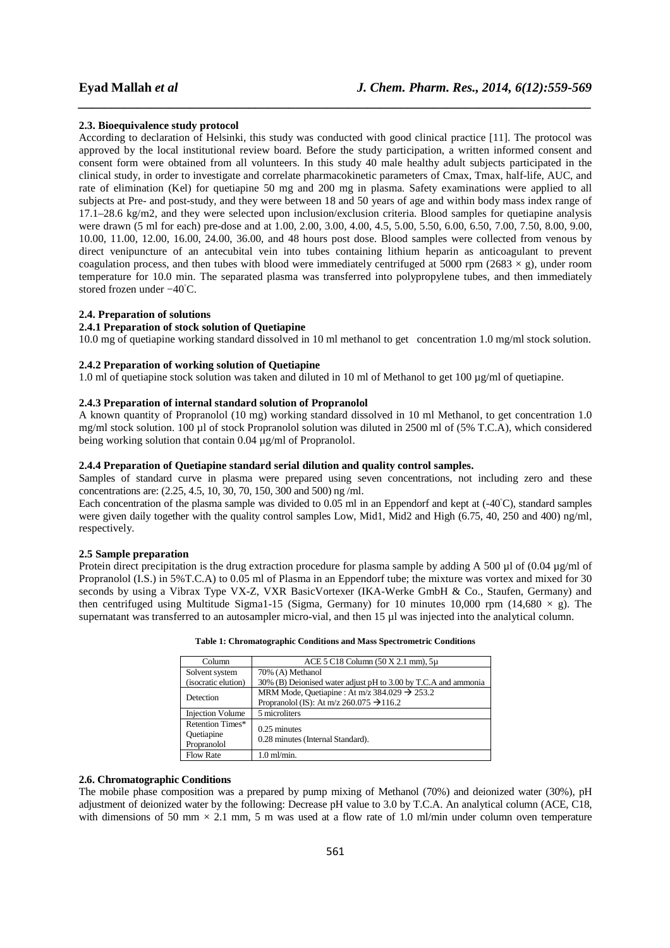### **2.3. Bioequivalence study protocol**

According to declaration of Helsinki, this study was conducted with good clinical practice [11]. The protocol was approved by the local institutional review board. Before the study participation, a written informed consent and consent form were obtained from all volunteers. In this study 40 male healthy adult subjects participated in the clinical study, in order to investigate and correlate pharmacokinetic parameters of Cmax, Tmax, half-life, AUC, and rate of elimination (Kel) for quetiapine 50 mg and 200 mg in plasma. Safety examinations were applied to all subjects at Pre- and post-study, and they were between 18 and 50 years of age and within body mass index range of 17.1–28.6 kg/m2, and they were selected upon inclusion/exclusion criteria. Blood samples for quetiapine analysis were drawn (5 ml for each) pre-dose and at 1.00, 2.00, 3.00, 4.00, 4.5, 5.00, 5.50, 6.00, 6.50, 7.00, 7.50, 8.00, 9.00, 10.00, 11.00, 12.00, 16.00, 24.00, 36.00, and 48 hours post dose. Blood samples were collected from venous by direct venipuncture of an antecubital vein into tubes containing lithium heparin as anticoagulant to prevent coagulation process, and then tubes with blood were immediately centrifuged at 5000 rpm (2683  $\times$  g), under room temperature for 10.0 min. The separated plasma was transferred into polypropylene tubes, and then immediately stored frozen under −40◦C.

*\_\_\_\_\_\_\_\_\_\_\_\_\_\_\_\_\_\_\_\_\_\_\_\_\_\_\_\_\_\_\_\_\_\_\_\_\_\_\_\_\_\_\_\_\_\_\_\_\_\_\_\_\_\_\_\_\_\_\_\_\_\_\_\_\_\_\_\_\_\_\_\_\_\_\_\_\_\_*

### **2.4. Preparation of solutions**

# **2.4.1 Preparation of stock solution of Quetiapine**

10.0 mg of quetiapine working standard dissolved in 10 ml methanol to get concentration 1.0 mg/ml stock solution.

# **2.4.2 Preparation of working solution of Quetiapine**

1.0 ml of quetiapine stock solution was taken and diluted in 10 ml of Methanol to get 100  $\mu$ g/ml of quetiapine.

# **2.4.3 Preparation of internal standard solution of Propranolol**

A known quantity of Propranolol (10 mg) working standard dissolved in 10 ml Methanol, to get concentration 1.0 mg/ml stock solution. 100 µl of stock Propranolol solution was diluted in 2500 ml of (5% T.C.A), which considered being working solution that contain 0.04 µg/ml of Propranolol.

# **2.4.4 Preparation of Quetiapine standard serial dilution and quality control samples.**

Samples of standard curve in plasma were prepared using seven concentrations, not including zero and these concentrations are: (2.25, 4.5, 10, 30, 70, 150, 300 and 500) ng /ml.

Each concentration of the plasma sample was divided to 0.05 ml in an Eppendorf and kept at (-40◦C), standard samples were given daily together with the quality control samples Low, Mid1, Mid2 and High (6.75, 40, 250 and 400) ng/ml, respectively.

### **2.5 Sample preparation**

Protein direct precipitation is the drug extraction procedure for plasma sample by adding A 500  $\mu$ l of (0.04  $\mu$ g/ml of Propranolol (I.S.) in 5%T.C.A) to 0.05 ml of Plasma in an Eppendorf tube; the mixture was vortex and mixed for 30 seconds by using a Vibrax Type VX-Z, VXR BasicVortexer (IKA-Werke GmbH & Co., Staufen, Germany) and then centrifuged using Multitude Sigma1-15 (Sigma, Germany) for 10 minutes 10,000 rpm (14,680  $\times$  g). The supernatant was transferred to an autosampler micro-vial, and then 15  $\mu$ l was injected into the analytical column.

| Column                  | $ACE 5 C18 Column (50 X 2.1 mm), 5µ$                           |
|-------------------------|----------------------------------------------------------------|
| Solvent system          | 70% (A) Methanol                                               |
| (isocratic elution)     | 30% (B) Deionised water adjust pH to 3.00 by T.C.A and ammonia |
| Detection               | MRM Mode, Quetiapine : At m/z 384.029 $\rightarrow$ 253.2      |
|                         | Propranolol (IS): At m/z 260.075 $\rightarrow$ 116.2           |
| <b>Injection Volume</b> | 5 microliters                                                  |
| Retention Times*        | $0.25$ minutes                                                 |
| Ouetiapine              | 0.28 minutes (Internal Standard).                              |
| Propranolol             |                                                                |
| <b>Flow Rate</b>        | $1.0$ m $V$ min.                                               |

# **2.6. Chromatographic Conditions**

The mobile phase composition was a prepared by pump mixing of Methanol (70%) and deionized water (30%), pH adjustment of deionized water by the following: Decrease pH value to 3.0 by T.C.A. An analytical column (ACE, C18, with dimensions of 50 mm  $\times$  2.1 mm, 5 m was used at a flow rate of 1.0 ml/min under column oven temperature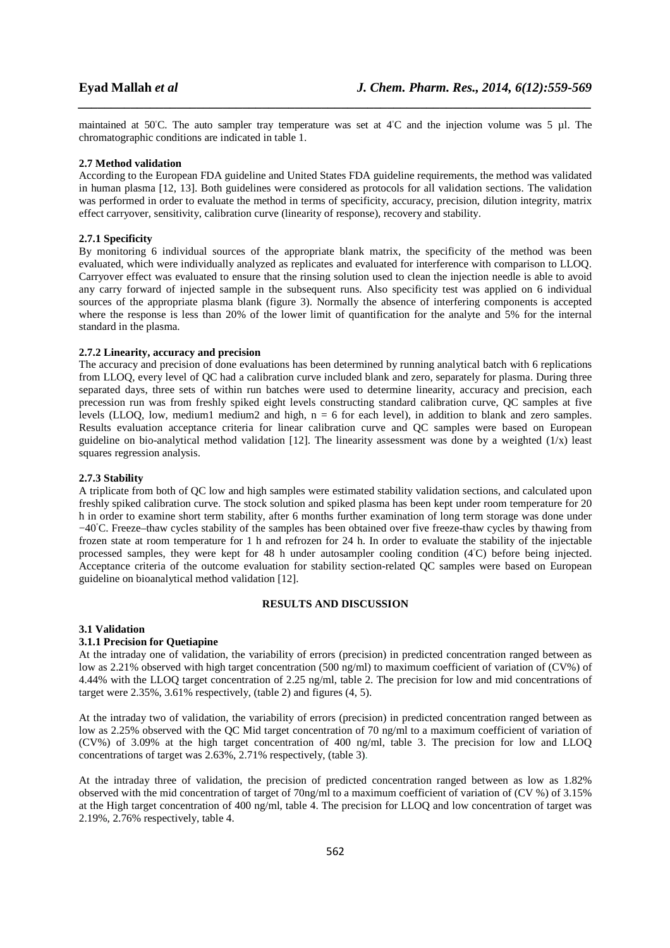maintained at 50◦C. The auto sampler tray temperature was set at 4◦C and the injection volume was 5 µl. The chromatographic conditions are indicated in table 1.

*\_\_\_\_\_\_\_\_\_\_\_\_\_\_\_\_\_\_\_\_\_\_\_\_\_\_\_\_\_\_\_\_\_\_\_\_\_\_\_\_\_\_\_\_\_\_\_\_\_\_\_\_\_\_\_\_\_\_\_\_\_\_\_\_\_\_\_\_\_\_\_\_\_\_\_\_\_\_*

#### **2.7 Method validation**

According to the European FDA guideline and United States FDA guideline requirements, the method was validated in human plasma [12, 13]. Both guidelines were considered as protocols for all validation sections. The validation was performed in order to evaluate the method in terms of specificity, accuracy, precision, dilution integrity, matrix effect carryover, sensitivity, calibration curve (linearity of response), recovery and stability.

### **2.7.1 Specificity**

By monitoring 6 individual sources of the appropriate blank matrix, the specificity of the method was been evaluated, which were individually analyzed as replicates and evaluated for interference with comparison to LLOQ. Carryover effect was evaluated to ensure that the rinsing solution used to clean the injection needle is able to avoid any carry forward of injected sample in the subsequent runs. Also specificity test was applied on 6 individual sources of the appropriate plasma blank (figure 3). Normally the absence of interfering components is accepted where the response is less than 20% of the lower limit of quantification for the analyte and 5% for the internal standard in the plasma.

## **2.7.2 Linearity, accuracy and precision**

The accuracy and precision of done evaluations has been determined by running analytical batch with 6 replications from LLOQ, every level of QC had a calibration curve included blank and zero, separately for plasma. During three separated days, three sets of within run batches were used to determine linearity, accuracy and precision, each precession run was from freshly spiked eight levels constructing standard calibration curve, QC samples at five levels (LLOQ, low, medium1 medium2 and high,  $n = 6$  for each level), in addition to blank and zero samples. Results evaluation acceptance criteria for linear calibration curve and QC samples were based on European guideline on bio-analytical method validation [12]. The linearity assessment was done by a weighted  $(1/x)$  least squares regression analysis.

### **2.7.3 Stability**

A triplicate from both of QC low and high samples were estimated stability validation sections, and calculated upon freshly spiked calibration curve. The stock solution and spiked plasma has been kept under room temperature for 20 h in order to examine short term stability, after 6 months further examination of long term storage was done under −40◦C. Freeze–thaw cycles stability of the samples has been obtained over five freeze-thaw cycles by thawing from frozen state at room temperature for 1 h and refrozen for 24 h. In order to evaluate the stability of the injectable processed samples, they were kept for 48 h under autosampler cooling condition (4℃) before being injected. Acceptance criteria of the outcome evaluation for stability section-related QC samples were based on European guideline on bioanalytical method validation [12].

## **RESULTS AND DISCUSSION**

#### **3.1 Validation**

### **3.1.1 Precision for Quetiapine**

At the intraday one of validation, the variability of errors (precision) in predicted concentration ranged between as low as 2.21% observed with high target concentration (500 ng/ml) to maximum coefficient of variation of (CV%) of 4.44% with the LLOQ target concentration of 2.25 ng/ml, table 2. The precision for low and mid concentrations of target were 2.35%, 3.61% respectively, (table 2) and figures (4, 5).

At the intraday two of validation, the variability of errors (precision) in predicted concentration ranged between as low as 2.25% observed with the QC Mid target concentration of 70 ng/ml to a maximum coefficient of variation of (CV%) of 3.09% at the high target concentration of 400 ng/ml, table 3. The precision for low and LLOQ concentrations of target was 2.63%, 2.71% respectively, (table 3).

At the intraday three of validation, the precision of predicted concentration ranged between as low as 1.82% observed with the mid concentration of target of 70ng/ml to a maximum coefficient of variation of (CV %) of 3.15% at the High target concentration of 400 ng/ml, table 4. The precision for LLOQ and low concentration of target was 2.19%, 2.76% respectively, table 4.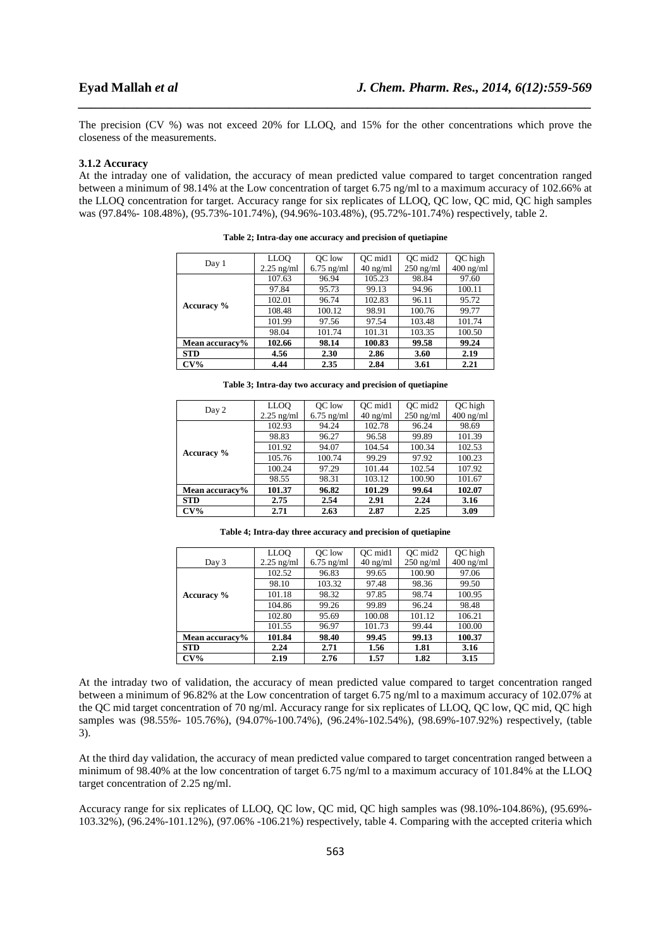The precision (CV %) was not exceed 20% for LLOQ, and 15% for the other concentrations which prove the closeness of the measurements.

*\_\_\_\_\_\_\_\_\_\_\_\_\_\_\_\_\_\_\_\_\_\_\_\_\_\_\_\_\_\_\_\_\_\_\_\_\_\_\_\_\_\_\_\_\_\_\_\_\_\_\_\_\_\_\_\_\_\_\_\_\_\_\_\_\_\_\_\_\_\_\_\_\_\_\_\_\_\_*

#### **3.1.2 Accuracy**

At the intraday one of validation, the accuracy of mean predicted value compared to target concentration ranged between a minimum of 98.14% at the Low concentration of target 6.75 ng/ml to a maximum accuracy of 102.66% at the LLOQ concentration for target. Accuracy range for six replicates of LLOQ, QC low, QC mid, QC high samples was (97.84%- 108.48%), (95.73%-101.74%), (94.96%-103.48%), (95.72%-101.74%) respectively, table 2.

| Day 1          | LLO <sub>O</sub> | OC low       | OC mid1            | OC mid2     | QC high     |
|----------------|------------------|--------------|--------------------|-------------|-------------|
|                | $2.25$ ng/ml     | $6.75$ ng/ml | $40 \text{ ng/ml}$ | $250$ ng/ml | $400$ ng/ml |
|                | 107.63           | 96.94        | 105.23             | 98.84       | 97.60       |
|                | 97.84            | 95.73        | 99.13              | 94.96       | 100.11      |
|                | 102.01           | 96.74        | 102.83             | 96.11       | 95.72       |
| Accuracy %     | 108.48           | 100.12       | 98.91              | 100.76      | 99.77       |
|                | 101.99           | 97.56        | 97.54              | 103.48      | 101.74      |
|                | 98.04            | 101.74       | 101.31             | 103.35      | 100.50      |
| Mean accuracy% | 102.66           | 98.14        | 100.83             | 99.58       | 99.24       |
| <b>STD</b>     | 4.56             | 2.30         | 2.86               | 3.60        | 2.19        |
| $CV\%$         | 4.44             | 2.35         | 2.84               | 3.61        | 2.21        |

**Table 2; Intra-day one accuracy and precision of quetiapine** 

|                | LLOO         | <b>OC</b> low | OC mid1    | OC mid2     | QC high     |
|----------------|--------------|---------------|------------|-------------|-------------|
| Day 2          | $2.25$ ng/ml | $6.75$ ng/ml  | $40$ ng/ml | $250$ ng/ml | $400$ ng/ml |
|                | 102.93       | 94.24         | 102.78     | 96.24       | 98.69       |
|                | 98.83        | 96.27         | 96.58      | 99.89       | 101.39      |
|                | 101.92       | 94.07         | 104.54     | 100.34      | 102.53      |
| Accuracy %     | 105.76       | 100.74        | 99.29      | 97.92       | 100.23      |
|                | 100.24       | 97.29         | 101.44     | 102.54      | 107.92      |
|                | 98.55        | 98.31         | 103.12     | 100.90      | 101.67      |
| Mean accuracy% | 101.37       | 96.82         | 101.29     | 99.64       | 102.07      |
| <b>STD</b>     | 2.75         | 2.54          | 2.91       | 2.24        | 3.16        |
| $CV\%$         | 2.71         | 2.63          | 2.87       | 2.25        | 3.09        |

**Table 3; Intra-day two accuracy and precision of quetiapine** 

**Table 4; Intra-day three accuracy and precision of quetiapine** 

|                | LLO <sub>O</sub> | OC low       | OC mid1    | OC mid2     | QC high     |
|----------------|------------------|--------------|------------|-------------|-------------|
| Day 3          | $2.25$ ng/ml     | $6.75$ ng/ml | $40$ ng/ml | $250$ ng/ml | $400$ ng/ml |
|                | 102.52           | 96.83        | 99.65      | 100.90      | 97.06       |
|                | 98.10            | 103.32       | 97.48      | 98.36       | 99.50       |
| Accuracy %     | 101.18           | 98.32        | 97.85      | 98.74       | 100.95      |
|                | 104.86           | 99.26        | 99.89      | 96.24       | 98.48       |
|                | 102.80           | 95.69        | 100.08     | 101.12      | 106.21      |
|                | 101.55           | 96.97        | 101.73     | 99.44       | 100.00      |
| Mean accuracy% | 101.84<br>98.40  |              | 99.45      | 99.13       | 100.37      |
| <b>STD</b>     | 2.24             | 2.71         | 1.56       | 1.81        | 3.16        |
| $CV\%$         | 2.19             | 2.76         | 1.57       | 1.82        | 3.15        |

At the intraday two of validation, the accuracy of mean predicted value compared to target concentration ranged between a minimum of 96.82% at the Low concentration of target 6.75 ng/ml to a maximum accuracy of 102.07*%* at the QC mid target concentration of 70 ng/ml. Accuracy range for six replicates of LLOQ, QC low, QC mid, QC high samples was (98.55*%-* 105.76%), (94.07%-100.74%), (96.24%-102.54%), (98.69%-107.92%) respectively, (table 3).

At the third day validation, the accuracy of mean predicted value compared to target concentration ranged between a minimum of 98.40% at the low concentration of target 6.75 ng/ml to a maximum accuracy of 101.84% at the LLOQ target concentration of 2.25 ng/ml.

Accuracy range for six replicates of LLOQ, QC low, QC mid, QC high samples was (98.10%-104.86%), (95.69%- 103.32%), (96.24%-101.12%), (97.06% -106.21%) respectively, table 4. Comparing with the accepted criteria which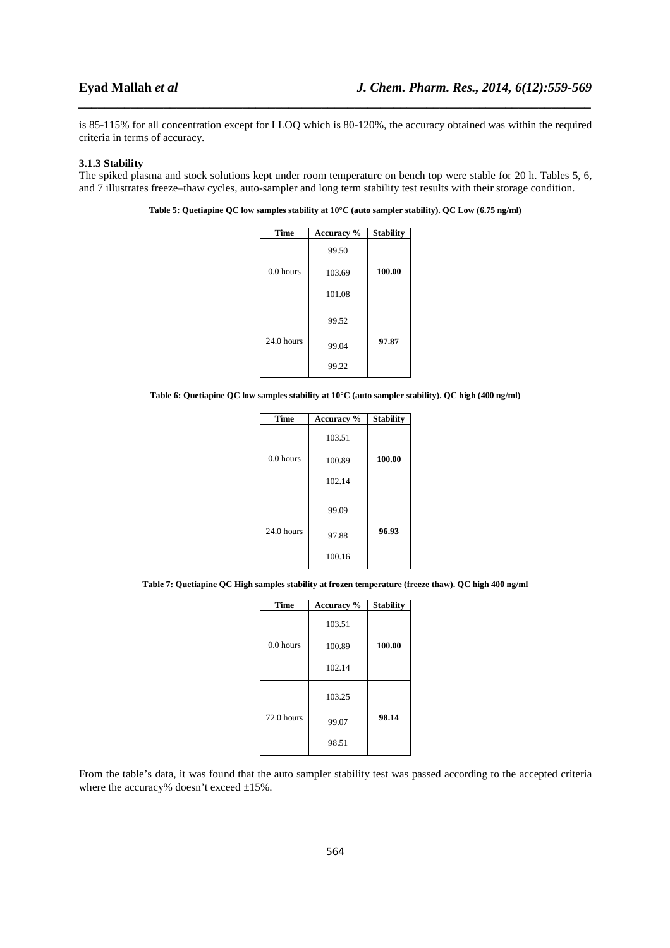is 85-115% for all concentration except for LLOQ which is 80-120%, the accuracy obtained was within the required criteria in terms of accuracy.

*\_\_\_\_\_\_\_\_\_\_\_\_\_\_\_\_\_\_\_\_\_\_\_\_\_\_\_\_\_\_\_\_\_\_\_\_\_\_\_\_\_\_\_\_\_\_\_\_\_\_\_\_\_\_\_\_\_\_\_\_\_\_\_\_\_\_\_\_\_\_\_\_\_\_\_\_\_\_*

#### **3.1.3 Stability**

The spiked plasma and stock solutions kept under room temperature on bench top were stable for 20 h. Tables 5, 6, and 7 illustrates freeze–thaw cycles, auto-sampler and long term stability test results with their storage condition.

**Table 5: Quetiapine QC low samples stability at 10°C (auto sampler stability). QC Low (6.75 ng/ml)** 

| <b>Time</b>  | <b>Accuracy</b> % | <b>Stability</b> |
|--------------|-------------------|------------------|
|              | 99.50             |                  |
| $0.0$ hours  | 103.69            | 100.00           |
|              | 101.08            |                  |
|              | 99.52             |                  |
| $24.0$ hours | 99.04             | 97.87            |
|              | 99.22             |                  |

**Table 6: Quetiapine QC low samples stability at 10°C (auto sampler stability). QC high (400 ng/ml)** 

| <b>Time</b> | Accuracy % | <b>Stability</b> |
|-------------|------------|------------------|
|             | 103.51     |                  |
| 0.0 hours   | 100.89     | 100.00           |
|             | 102.14     |                  |
|             | 99.09      |                  |
| 24.0 hours  | 97.88      | 96.93            |
|             | 100.16     |                  |

**Table 7: Quetiapine QC High samples stability at frozen temperature (freeze thaw). QC high 400 ng/ml** 

| <b>Time</b> | Accuracy % | <b>Stability</b> |
|-------------|------------|------------------|
|             | 103.51     |                  |
| $0.0$ hours | 100.89     | 100.00           |
|             | 102.14     |                  |
|             | 103.25     |                  |
| 72.0 hours  | 99.07      | 98.14            |
|             | 98.51      |                  |

From the table's data, it was found that the auto sampler stability test was passed according to the accepted criteria where the accuracy% doesn't exceed  $\pm 15$ %.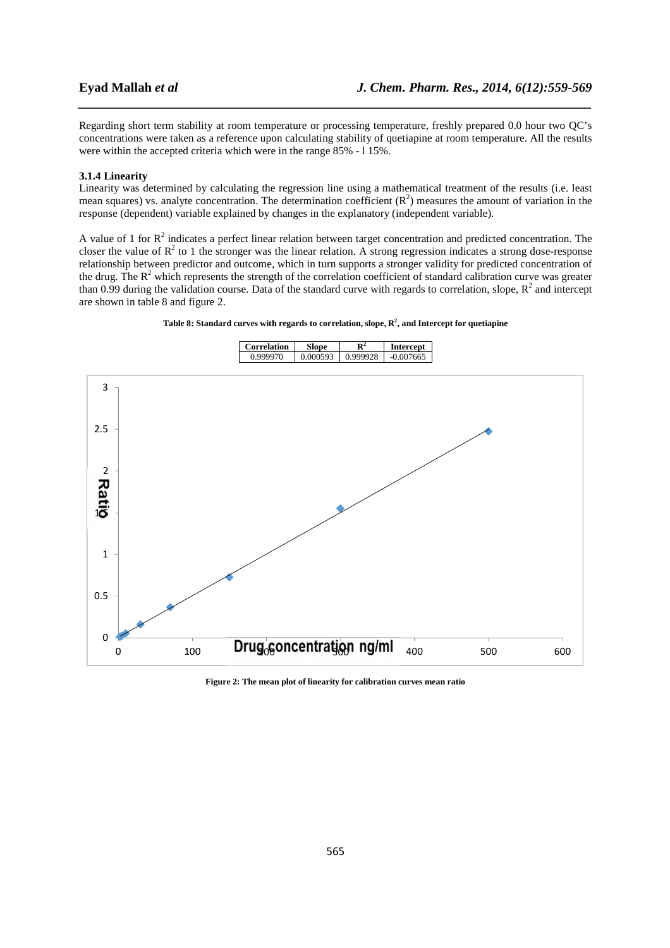Regarding short term stability at room temperature or processing temperature, freshly prepared 0.0 hour two QC's concentrations were taken as a reference upon calculating stability of quetiapine at room temperature. All the results were within the accepted criteria which were in the range 85% - l 15%.

*\_\_\_\_\_\_\_\_\_\_\_\_\_\_\_\_\_\_\_\_\_\_\_\_\_\_\_\_\_\_\_\_\_\_\_\_\_\_\_\_\_\_\_\_\_\_\_\_\_\_\_\_\_\_\_\_\_\_\_\_\_\_\_\_\_\_\_\_\_\_\_\_\_\_\_\_\_\_*

#### **3.1.4 Linearity**

Linearity was determined by calculating the regression line using a mathematical treatment of the results (i.e. least mean squares) vs. analyte concentration. The determination coefficient  $(R^2)$  measures the amount of variation in the response (dependent) variable explained by changes in the explanatory (independent variable).

A value of 1 for  $R^2$  indicates a perfect linear relation between target concentration and predicted concentration. The closer the value of  $R^2$  to 1 the stronger was the linear relation. A strong regression indicates a strong dose-response relationship between predictor and outcome, which in turn supports a stronger validity for predicted concentration of the drug. The  $R^2$  which represents the strength of the correlation coefficient of standard calibration curve was greater than 0.99 during the validation course. Data of the standard curve with regards to correlation, slope,  $R^2$  and intercept are shown in table 8 and figure 2.





**Figure 2: The mean plot of linearity for calibration curves mean ratio**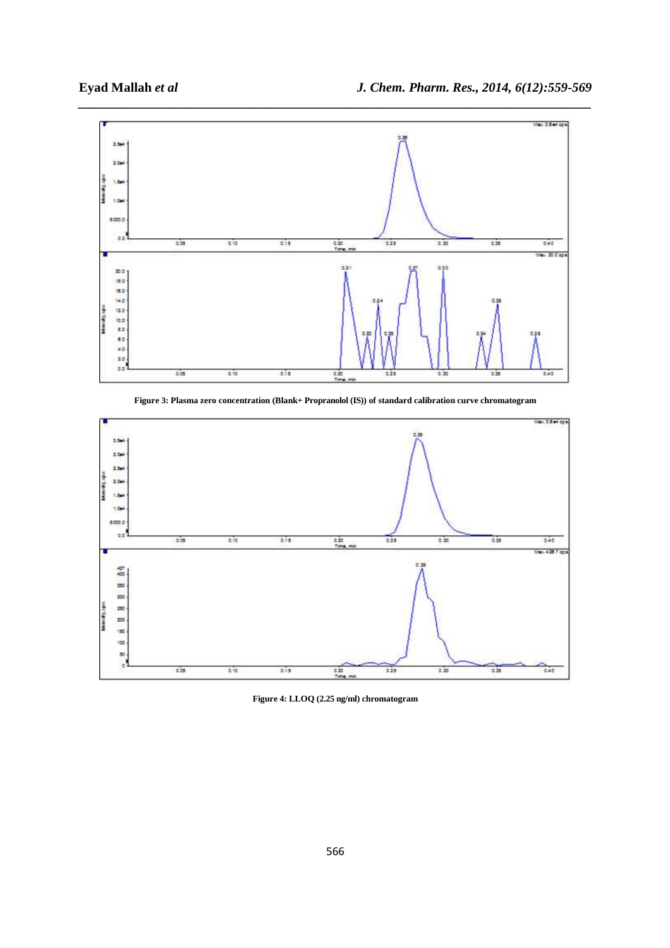

**Figure 3: Plasma zero concentration (Blank+ Propranolol (IS)) of standard calibration curve chromatogram** 



**Figure 4: LLOQ (2.25 ng/ml) chromatogram**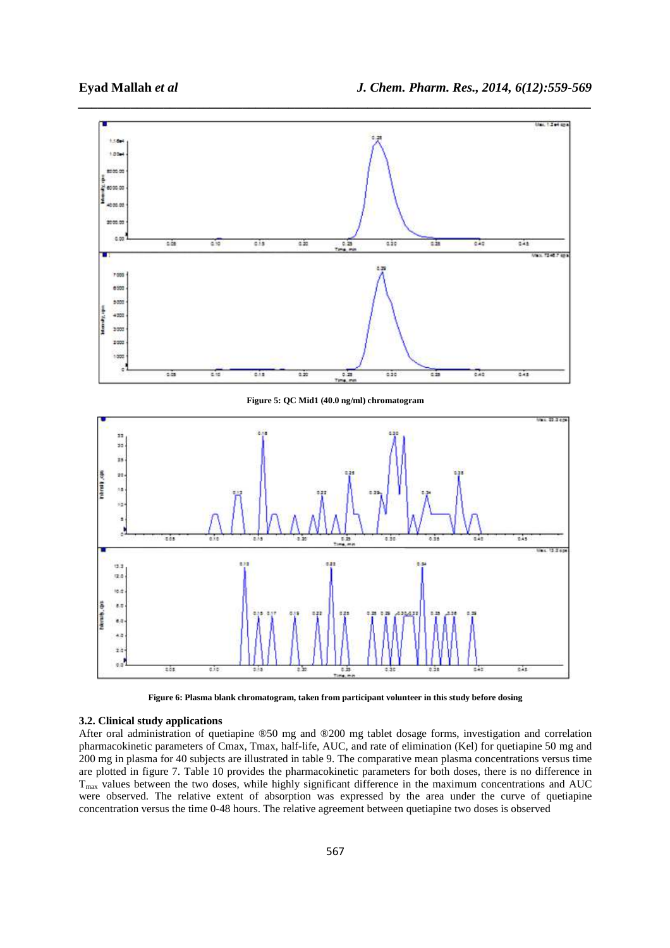

**Figure 6: Plasma blank chromatogram, taken from participant volunteer in this study before dosing** 

# **3.2. Clinical study applications**

After oral administration of quetiapine ®50 mg and ®200 mg tablet dosage forms, investigation and correlation pharmacokinetic parameters of Cmax, Tmax, half-life, AUC, and rate of elimination (Kel) for quetiapine 50 mg and 200 mg in plasma for 40 subjects are illustrated in table 9. The comparative mean plasma concentrations versus time are plotted in figure 7. Table 10 provides the pharmacokinetic parameters for both doses, there is no difference in  $T<sub>max</sub>$  values between the two doses, while highly significant difference in the maximum concentrations and AUC were observed. The relative extent of absorption was expressed by the area under the curve of quetiapine concentration versus the time 0-48 hours. The relative agreement between quetiapine two doses is observed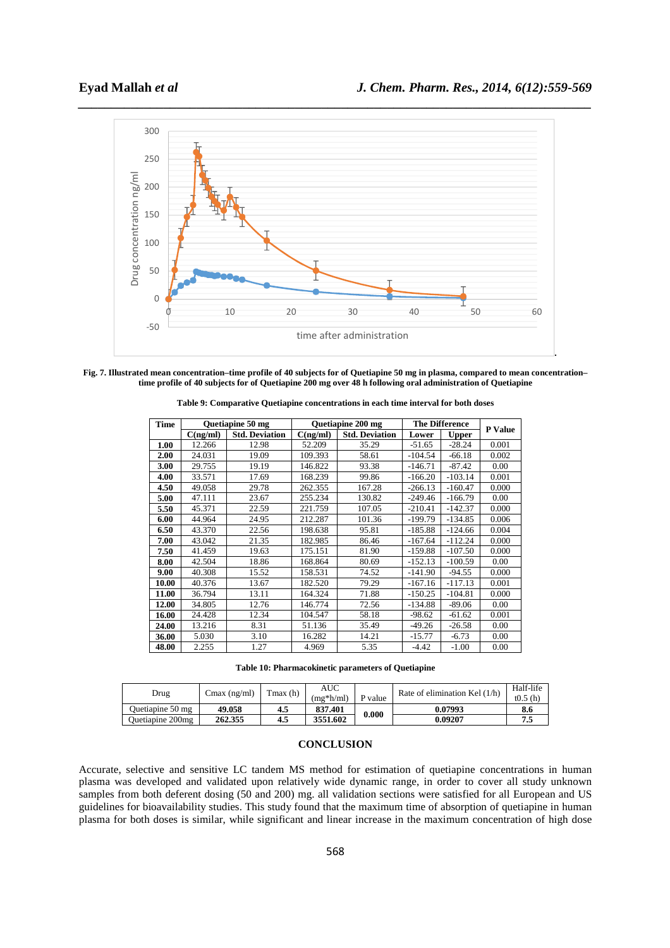

**Fig. 7. Illustrated mean concentration–time profile of 40 subjects for of Quetiapine 50 mg in plasma, compared to mean concentration– time profile of 40 subjects for of Quetiapine 200 mg over 48 h following oral administration of Quetiapine**

| <b>Time</b> |          | <b>Ouetiapine 50 mg</b> | <b>Ouetiapine 200 mg</b> |                       | <b>The Difference</b> | <b>P</b> Value |       |
|-------------|----------|-------------------------|--------------------------|-----------------------|-----------------------|----------------|-------|
|             | C(ng/ml) | <b>Std. Deviation</b>   | C(ng/ml)                 | <b>Std. Deviation</b> | Lower                 | <b>Upper</b>   |       |
| 1.00        | 12.266   | 12.98                   | 52.209                   | 35.29                 | $-51.65$              | $-28.24$       | 0.001 |
| 2.00        | 24.031   | 19.09                   | 109.393                  | 58.61                 | $-104.54$             | $-66.18$       | 0.002 |
| 3.00        | 29.755   | 19.19                   | 146.822                  | 93.38                 | $-146.71$             | $-87.42$       | 0.00  |
| 4.00        | 33.571   | 17.69                   | 168.239                  | 99.86                 | -166.20               | $-103.14$      | 0.001 |
| 4.50        | 49.058   | 29.78                   | 262.355                  | 167.28                | $-266.13$             | $-160.47$      | 0.000 |
| 5.00        | 47.111   | 23.67                   | 255.234                  | 130.82                | $-249.46$             | $-166.79$      | 0.00  |
| 5.50        | 45.371   | 22.59                   | 221.759                  | 107.05                | $-210.41$             | $-142.37$      | 0.000 |
| 6.00        | 44.964   | 24.95                   | 212.287                  | 101.36                | -199.79               | $-134.85$      | 0.006 |
| 6.50        | 43.370   | 22.56                   | 198.638                  | 95.81                 | $-185.88$             | $-124.66$      | 0.004 |
| 7.00        | 43.042   | 21.35                   | 182.985                  | 86.46                 | $-167.64$             | $-112.24$      | 0.000 |
| 7.50        | 41.459   | 19.63                   | 175.151                  | 81.90                 | $-159.88$             | $-107.50$      | 0.000 |
| 8.00        | 42.504   | 18.86                   | 168.864                  | 80.69                 | $-152.13$             | $-100.59$      | 0.00  |
| 9.00        | 40.308   | 15.52                   | 158.531                  | 74.52                 | $-141.90$             | $-94.55$       | 0.000 |
| 10.00       | 40.376   | 13.67                   | 182.520                  | 79.29                 | $-167.16$             | $-117.13$      | 0.001 |
| 11.00       | 36.794   | 13.11                   | 164.324                  | 71.88                 | $-150.25$             | $-104.81$      | 0.000 |
| 12.00       | 34.805   | 12.76                   | 146.774                  | 72.56                 | $-134.88$             | $-89.06$       | 0.00  |
| 16.00       | 24.428   | 12.34                   | 104.547                  | 58.18                 | $-98.62$              | $-61.62$       | 0.001 |
| 24.00       | 13.216   | 8.31                    | 51.136                   | 35.49                 | $-49.26$              | $-26.58$       | 0.00  |
| 36.00       | 5.030    | 3.10                    | 16.282                   | 14.21                 | $-15.77$              | $-6.73$        | 0.00  |
| 48.00       | 2.255    | 1.27                    | 4.969                    | 5.35                  | $-4.42$               | $-1.00$        | 0.00  |

**Table 9: Comparative Quetiapine concentrations in each time interval for both doses** 

**Table 10: Pharmacokinetic parameters of Quetiapine** 

| Drug-            | $Cmax$ (ng/ml) | $\text{Tr}\left(\mathbf{h}\right)$ | AUC<br>$(mg*h/ml)$ | P value | Rate of elimination Kel $(1/h)$ | Half-life<br>t0.5(h) |
|------------------|----------------|------------------------------------|--------------------|---------|---------------------------------|----------------------|
| Duetiapine 50 mg | 49.058         | 4.5                                | 837.401            | 0.000   | 0.07993                         | 8.6                  |
| Ouetiapine 200mg | 262.355        | 4.5                                | 3551.602           |         | 0.09207                         | 71<br>ر.,            |

# **CONCLUSION**

Accurate, selective and sensitive LC tandem MS method for estimation of quetiapine concentrations in human plasma was developed and validated upon relatively wide dynamic range, in order to cover all study unknown samples from both deferent dosing (50 and 200) mg. all validation sections were satisfied for all European and US guidelines for bioavailability studies. This study found that the maximum time of absorption of quetiapine in human plasma for both doses is similar, while significant and linear increase in the maximum concentration of high dose